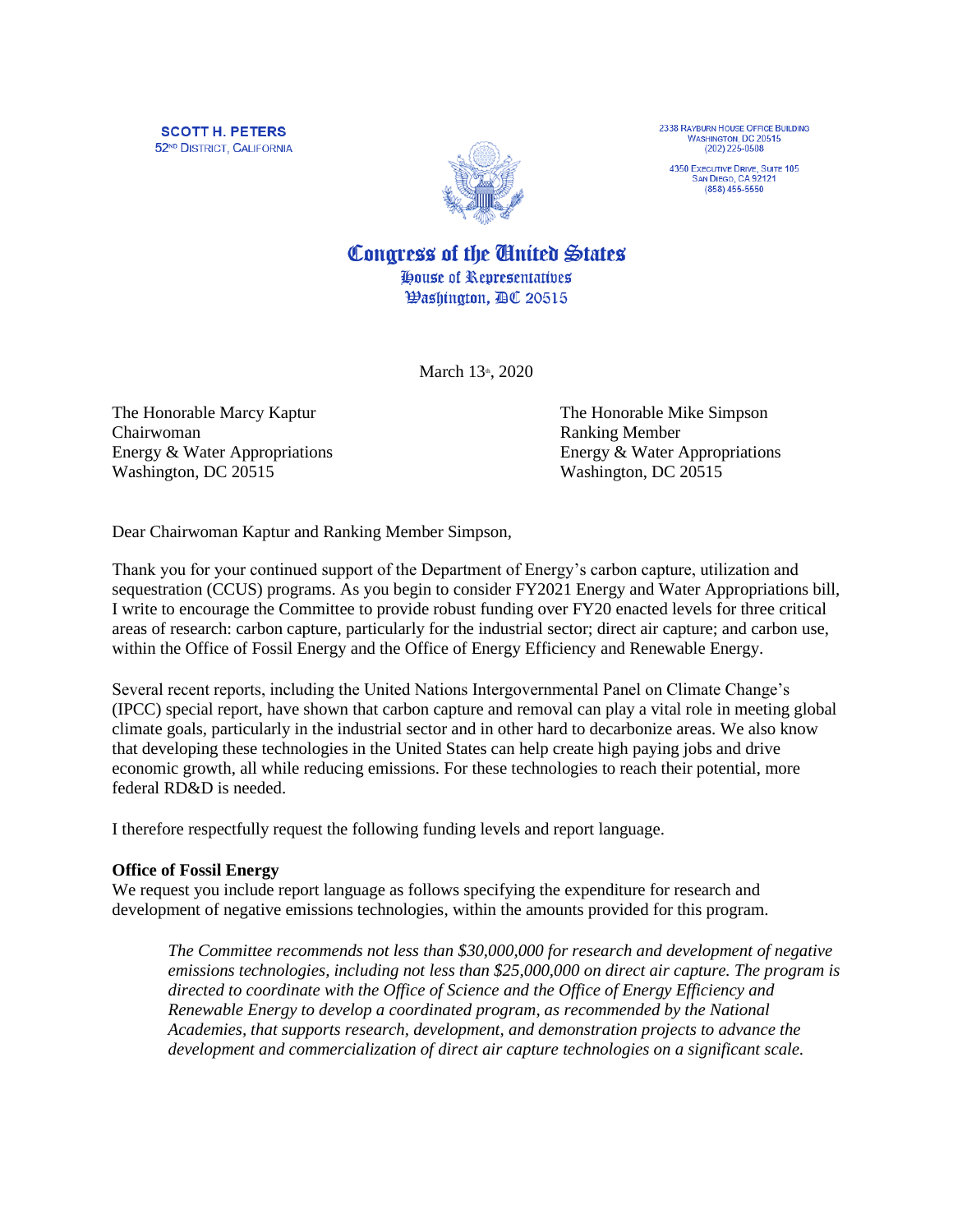**SCOTT H. PETERS** 52<sup>ND</sup> DISTRICT, CALIFORNIA



2338 RAYBURN HOUSE OFFICE BUILDING<br>WASHINGTON, DC 20515  $(202)$  225-0508

4350 EXECUTIVE DRIVE, SUITE 105<br>SAN DIEGO, CA 92121  $(858) 455 - 5550$ 

Congress of the United States House of Representatives

*Washington, AC 20515* 

March 13th, 2020

The Honorable Marcy Kaptur The Honorable Mike Simpson Chairwoman Ranking Member Washington, DC 20515 Washington, DC 20515

Energy & Water Appropriations Energy & Water Appropriations

Dear Chairwoman Kaptur and Ranking Member Simpson,

Thank you for your continued support of the Department of Energy's carbon capture, utilization and sequestration (CCUS) programs. As you begin to consider FY2021 Energy and Water Appropriations bill, I write to encourage the Committee to provide robust funding over FY20 enacted levels for three critical areas of research: carbon capture, particularly for the industrial sector; direct air capture; and carbon use, within the Office of Fossil Energy and the Office of Energy Efficiency and Renewable Energy.

Several recent reports, including the United Nations Intergovernmental Panel on Climate Change's (IPCC) special report, have shown that carbon capture and removal can play a vital role in meeting global climate goals, particularly in the industrial sector and in other hard to decarbonize areas. We also know that developing these technologies in the United States can help create high paying jobs and drive economic growth, all while reducing emissions. For these technologies to reach their potential, more federal RD&D is needed.

I therefore respectfully request the following funding levels and report language.

# **Office of Fossil Energy**

We request you include report language as follows specifying the expenditure for research and development of negative emissions technologies, within the amounts provided for this program.

*The Committee recommends not less than \$30,000,000 for research and development of negative emissions technologies, including not less than \$25,000,000 on direct air capture. The program is directed to coordinate with the Office of Science and the Office of Energy Efficiency and Renewable Energy to develop a coordinated program, as recommended by the National Academies, that supports research, development, and demonstration projects to advance the development and commercialization of direct air capture technologies on a significant scale.*